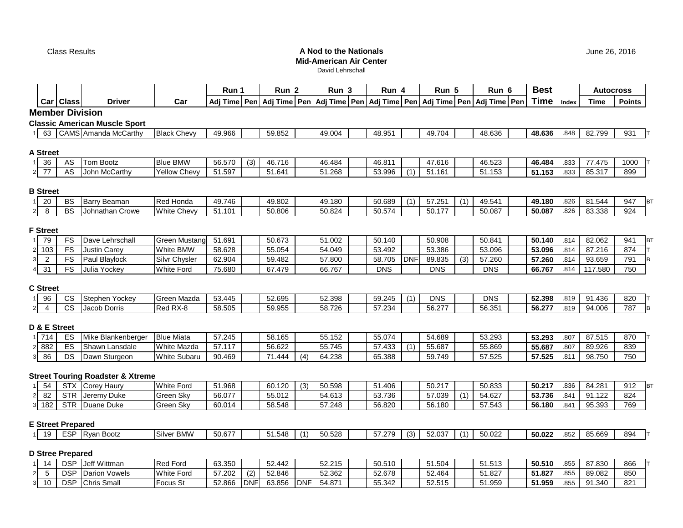Class Results

# **A Nod to the NationalsMid-American Air Center**

David Lehrschall

|                         |                 |                          |                                             |                      | Run 1  |            | Run <sub>2</sub> |            | Run 3                                                                              | Run 4      |            | Run 5      |                  | Run 6        | <b>Best</b> |       | <b>Autocross</b> |                  |
|-------------------------|-----------------|--------------------------|---------------------------------------------|----------------------|--------|------------|------------------|------------|------------------------------------------------------------------------------------|------------|------------|------------|------------------|--------------|-------------|-------|------------------|------------------|
|                         |                 | Car Class                | <b>Driver</b>                               | Car                  |        |            |                  |            | Adj Time   Pen   Adj Time   Pen   Adj Time   Pen   Adj Time   Pen   Adj Time   Pen |            |            |            |                  | Adj Time Pen | <b>Time</b> | Index | <b>Time</b>      | <b>Points</b>    |
|                         |                 | <b>Member Division</b>   |                                             |                      |        |            |                  |            |                                                                                    |            |            |            |                  |              |             |       |                  |                  |
|                         |                 |                          | <b>Classic American Muscle Sport</b>        |                      |        |            |                  |            |                                                                                    |            |            |            |                  |              |             |       |                  |                  |
|                         | 63              |                          | CAMS Amanda McCarthy                        | <b>Black Chevy</b>   | 49.966 |            | 59.852           |            | 49.004                                                                             | 48.951     |            | 49.704     |                  | 48.636       | 48.636      | .848  | 82.799           | 931              |
|                         |                 |                          |                                             |                      |        |            |                  |            |                                                                                    |            |            |            |                  |              |             |       |                  |                  |
|                         | <b>A Street</b> |                          |                                             |                      |        |            |                  |            |                                                                                    |            |            |            |                  |              |             |       |                  |                  |
|                         | 36              | AS                       | <b>Tom Bootz</b>                            | <b>Blue BMW</b>      | 56.570 | (3)        | 46.716           |            | 46.484                                                                             | 46.811     |            | 47.616     |                  | 46.523       | 46.484      | .833  | 77.475           | 1000             |
| $\overline{2}$          | $\overline{77}$ | A <sub>S</sub>           | John McCarthy                               | <b>Yellow Chevy</b>  | 51.597 |            | 51.641           |            | 51.268                                                                             | 53.996     | (1)        | 51.161     |                  | 51.153       | 51.153      | .833  | 85.317           | 899              |
|                         | <b>B</b> Street |                          |                                             |                      |        |            |                  |            |                                                                                    |            |            |            |                  |              |             |       |                  |                  |
| 1                       | 20              | BS                       | Barry Beaman                                | <b>Red Honda</b>     | 49.746 |            | 49.802           |            | 49.180                                                                             | 50.689     | (1)        | 57.251     | (1)              | 49.541       | 49.180      | .826  | 81.544           | 947<br>BT        |
| $\overline{a}$          | 8               | <b>BS</b>                | Johnathan Crowe                             | <b>White Chevy</b>   | 51.101 |            | 50.806           |            | 50.824                                                                             | 50.574     |            | 50.177     |                  | 50.087       | 50.087      | .826  | 83.338           | 924              |
|                         |                 |                          |                                             |                      |        |            |                  |            |                                                                                    |            |            |            |                  |              |             |       |                  |                  |
|                         | <b>F</b> Street |                          |                                             |                      |        |            |                  |            |                                                                                    |            |            |            |                  |              |             |       |                  |                  |
| 1                       | 79              | <b>FS</b>                | Dave Lehrschall                             | <b>Green Mustang</b> | 51.691 |            | 50.673           |            | 51.002                                                                             | 50.140     |            | 50.908     |                  | 50.841       | 50.140      | .814  | 82.062           | 941<br>ΒT        |
| $\mathbf{2}$            | 103             | <b>FS</b>                | <b>Justin Carey</b>                         | <b>White BMW</b>     | 58.628 |            | 55.054           |            | 54.049                                                                             | 53.492     |            | 53.386     |                  | 53.096       | 53.096      | .814  | 87.216           | 874              |
| $\mathbf{3}$            | $\overline{2}$  | FS                       | Paul Blaylock                               | Silvr Chysler        | 62.904 |            | 59.482           |            | 57.800                                                                             | 58.705     | <b>DNF</b> | 89.835     | (3)              | 57.260       | 57.260      | .814  | 93.659           | 791<br>B         |
| $\overline{\mathbf{4}}$ | 31              | FS                       | Julia Yockey                                | <b>White Ford</b>    | 75.680 |            | 67.479           |            | 66.767                                                                             | <b>DNS</b> |            | <b>DNS</b> |                  | <b>DNS</b>   | 66.767      | .814  | 117.580          | 750              |
|                         | <b>C</b> Street |                          |                                             |                      |        |            |                  |            |                                                                                    |            |            |            |                  |              |             |       |                  |                  |
| 1                       | 96              | <b>CS</b>                | Stephen Yockey                              | Green Mazda          | 53.445 |            | 52.695           |            | 52.398                                                                             | 59.245     | (1)        | <b>DNS</b> |                  | <b>DNS</b>   | 52.398      | .819  | 91.436           | 820              |
| $\overline{a}$          | $\overline{4}$  | <b>CS</b>                | Jacob Dorris                                | Red RX-8             | 58.505 |            | 59.955           |            | 58.726                                                                             | 57.234     |            | 56.277     |                  | 56.351       | 56.277      | .819  | 94.006           | 787<br>Iв        |
|                         |                 |                          |                                             |                      |        |            |                  |            |                                                                                    |            |            |            |                  |              |             |       |                  |                  |
|                         |                 | D & E Street             |                                             |                      |        |            |                  |            |                                                                                    |            |            |            |                  |              |             |       |                  |                  |
| 1                       | 714             | ES                       | Mike Blankenberger                          | <b>Blue Miata</b>    | 57.245 |            | 58.165           |            | 55.152                                                                             | 55.074     |            | 54.689     |                  | 53.293       | 53.293      | .807  | 87.515           | 870              |
| $\overline{a}$          | 882             | ES                       | Shawn Lansdale                              | <b>White Mazda</b>   | 57.117 |            | 56.622           |            | 55.745                                                                             | 57.433     | (1)        | 55.687     |                  | 55.869       | 55.687      | .807  | 89.926           | 839              |
| 3                       | 86              | DS                       | Dawn Sturgeon                               | <b>White Subaru</b>  | 90.469 |            | 71.444           | (4)        | 64.238                                                                             | 65.388     |            | 59.749     |                  | 57.525       | 57.525      | .811  | 98.750           | 750              |
|                         |                 |                          |                                             |                      |        |            |                  |            |                                                                                    |            |            |            |                  |              |             |       |                  |                  |
|                         |                 |                          | <b>Street Touring Roadster &amp; Xtreme</b> |                      |        |            |                  |            |                                                                                    |            |            |            |                  |              |             |       |                  |                  |
| 1                       | 54              | <b>STX</b>               | <b>Corey Haury</b>                          | <b>White Ford</b>    | 51.968 |            | 60.120           | (3)        | 50.598                                                                             | 51.406     |            | 50.217     |                  | 50.833       | 50.217      | .836  | 84.281           | 912<br><b>BT</b> |
| $\mathbf 2$             | 82              | <b>STR</b>               | Jeremy Duke                                 | Green Sky            | 56.077 |            | 55.012           |            | 54.613                                                                             | 53.736     |            | 57.039     | $\overline{(1)}$ | 54.627       | 53.736      | .841  | 91.122           | 824              |
| 3                       | 182             | <b>STR</b>               | Duane Duke                                  | Green Sky            | 60.014 |            | 58.548           |            | 57.248                                                                             | 56.820     |            | 56.180     |                  | 57.543       | 56.180      | .841  | 95.393           | 769              |
|                         |                 | <b>E Street Prepared</b> |                                             |                      |        |            |                  |            |                                                                                    |            |            |            |                  |              |             |       |                  |                  |
| 1                       | 19              |                          | ESP Ryan Bootz                              | Silver BMW           | 50.677 |            | 51.548           | (1)        | 50.528                                                                             | 57.279     | (3)        | 52.037     | (1)              | 50.022       | 50.022      | .852  | 85.669           | 894              |
|                         |                 |                          |                                             |                      |        |            |                  |            |                                                                                    |            |            |            |                  |              |             |       |                  |                  |
|                         |                 | <b>D Stree Prepared</b>  |                                             |                      |        |            |                  |            |                                                                                    |            |            |            |                  |              |             |       |                  |                  |
| 1                       | 14              | DSP                      | Jeff Wittman                                | <b>Red Ford</b>      | 63.350 |            | 52.442           |            | 52.215                                                                             | 50.510     |            | 51.504     |                  | 51.513       | 50.510      | .855  | 87.830           | 866              |
| $\mathbf{2}$            | $\sqrt{5}$      | <b>DSP</b>               | <b>Darion Vowels</b>                        | <b>White Ford</b>    | 57.202 | (2)        | 52.846           |            | 52.362                                                                             | 52.678     |            | 52.464     |                  | 51.827       | 51.827      | .855  | 89.082           | 850              |
| $\overline{\mathbf{3}}$ | 10              | <b>DSP</b>               | <b>Chris Small</b>                          | Focus St             | 52.866 | <b>DNF</b> | 63.856           | <b>DNF</b> | 54.871                                                                             | 55.342     |            | 52.515     |                  | 51.959       | 51.959      | .855  | 91.340           | 821              |